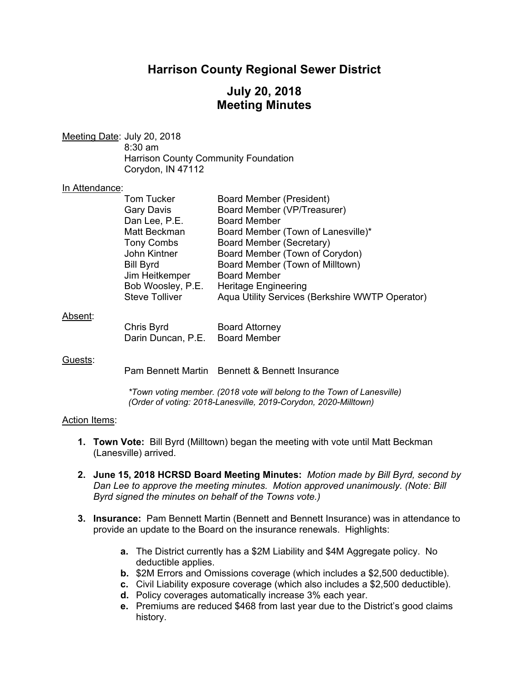# **Harrison County Regional Sewer District**

# **July 20, 2018 Meeting Minutes**

Meeting Date: July 20, 2018 8:30 am Harrison County Community Foundation Corydon, IN 47112

#### In Attendance:

| <b>Tom Tucker</b>     | <b>Board Member (President)</b>                 |
|-----------------------|-------------------------------------------------|
| <b>Gary Davis</b>     | Board Member (VP/Treasurer)                     |
| Dan Lee, P.E.         | <b>Board Member</b>                             |
| Matt Beckman          | Board Member (Town of Lanesville)*              |
| <b>Tony Combs</b>     | Board Member (Secretary)                        |
| John Kintner          | Board Member (Town of Corydon)                  |
| <b>Bill Byrd</b>      | Board Member (Town of Milltown)                 |
| Jim Heitkemper        | <b>Board Member</b>                             |
| Bob Woosley, P.E.     | <b>Heritage Engineering</b>                     |
| <b>Steve Tolliver</b> | Aqua Utility Services (Berkshire WWTP Operator) |
|                       |                                                 |

#### Absent:

| Chris Byrd         | <b>Board Attorney</b> |
|--------------------|-----------------------|
| Darin Duncan, P.E. | <b>Board Member</b>   |

### Guests:

Pam Bennett Martin Bennett & Bennett Insurance

*\*Town voting member. (2018 vote will belong to the Town of Lanesville) (Order of voting: 2018-Lanesville, 2019-Corydon, 2020-Milltown)* 

### Action Items:

- **1. Town Vote:** Bill Byrd (Milltown) began the meeting with vote until Matt Beckman (Lanesville) arrived.
- **2. June 15, 2018 HCRSD Board Meeting Minutes:** *Motion made by Bill Byrd, second by Dan Lee to approve the meeting minutes. Motion approved unanimously. (Note: Bill Byrd signed the minutes on behalf of the Towns vote.)*
- **3. Insurance:** Pam Bennett Martin (Bennett and Bennett Insurance) was in attendance to provide an update to the Board on the insurance renewals. Highlights:
	- **a.** The District currently has a \$2M Liability and \$4M Aggregate policy. No deductible applies.
	- **b.** \$2M Errors and Omissions coverage (which includes a \$2,500 deductible).
	- **c.** Civil Liability exposure coverage (which also includes a \$2,500 deductible).
	- **d.** Policy coverages automatically increase 3% each year.
	- **e.** Premiums are reduced \$468 from last year due to the District's good claims history.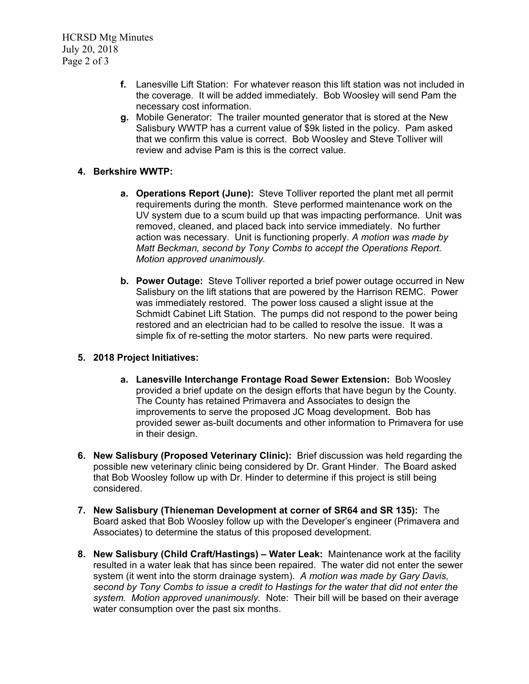- **f.** Lanesville Lift Station: For whatever reason this lift station was not included in the coverage. It will be added immediately. Bob Woosley will send Pam the necessary cost information.
- **g.** Mobile Generator: The trailer mounted generator that is stored at the New Salisbury WWTP has a current value of \$9k listed in the policy. Pam asked that we confirm this value is correct. Bob Woosley and Steve Tolliver will review and advise Pam is this is the correct value.

## **4. Berkshire WWTP:**

- **a. Operations Report (June):** Steve Tolliver reported the plant met all permit requirements during the month. Steve performed maintenance work on the UV system due to a scum build up that was impacting performance. Unit was removed, cleaned, and placed back into service immediately. No further action was necessary. Unit is functioning properly. *A motion was made by Matt Beckman, second by Tony Combs to accept the Operations Report. Motion approved unanimously.*
- **b. Power Outage:** Steve Tolliver reported a brief power outage occurred in New Salisbury on the lift stations that are powered by the Harrison REMC. Power was immediately restored. The power loss caused a slight issue at the Schmidt Cabinet Lift Station. The pumps did not respond to the power being restored and an electrician had to be called to resolve the issue. It was a simple fix of re-setting the motor starters. No new parts were required.

## **5. 2018 Project Initiatives:**

- **a. Lanesville Interchange Frontage Road Sewer Extension:** Bob Woosley provided a brief update on the design efforts that have begun by the County. The County has retained Primavera and Associates to design the improvements to serve the proposed JC Moag development. Bob has provided sewer as-built documents and other information to Primavera for use in their design.
- **6. New Salisbury (Proposed Veterinary Clinic):** Brief discussion was held regarding the possible new veterinary clinic being considered by Dr. Grant Hinder. The Board asked that Bob Woosley follow up with Dr. Hinder to determine if this project is still being considered.
- **7. New Salisbury (Thieneman Development at corner of SR64 and SR 135):** The Board asked that Bob Woosley follow up with the Developer's engineer (Primavera and Associates) to determine the status of this proposed development.
- **8. New Salisbury (Child Craft/Hastings) Water Leak:** Maintenance work at the facility resulted in a water leak that has since been repaired. The water did not enter the sewer system (it went into the storm drainage system). *A motion was made by Gary Davis, second by Tony Combs to issue a credit to Hastings for the water that did not enter the system. Motion approved unanimously.* Note: Their bill will be based on their average water consumption over the past six months.